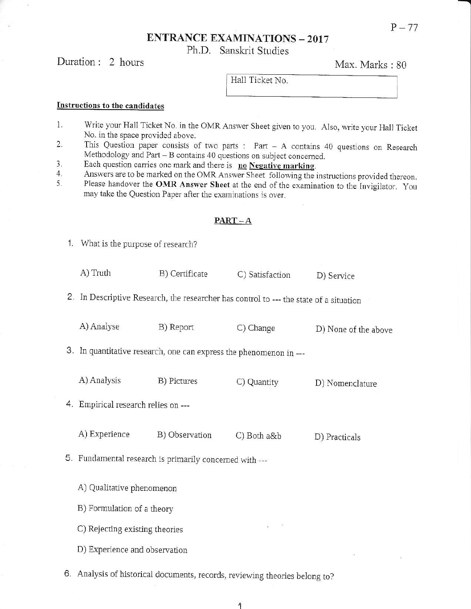$P - 77$ 

## **ENTRANCE EXAMINATIONS - 2017**

Ph.D. Sanskrit Studies

## Duration: 2 hours

Max. Marks: 80

Hall Ticket No.

### Instructions to the candidates

- 1. Write your Hall Ticket No. in the OMR Answer Sheet given to you. Also, write your Hall Ticket No. in the space provided above.
- This Question paper consists of two parts : Part  $A$  contains 40 questions on Research  $\overline{2}$ . Methodology and Part - B contains 40 questions on subject concerned.
- Each question carries one mark and there is no Negative marking. 3.
- Answers are to be marked on the OMR Answer Sheet following the instructions provided thereon. 4.
- Please handover the OMR Answer Sheet at the end of the examination to the Invigilator. You 5. may take the Question Paper after the examinations is over.

## $PART-A$

1. What is the purpose of research?

| A) Truth | B) Certificate | C) Satisfaction | D) Service |
|----------|----------------|-----------------|------------|
|          |                |                 |            |

2. In Descriptive Research, the researcher has control to --- the state of a situation

| A) Analyse | B) Report | C) Change | D) None of the above |
|------------|-----------|-----------|----------------------|
|            |           |           |                      |

3. In quantitative research, one can express the phenomenon in ---

A) Analysis B) Pictures C) Quantity D) Nomenclature

4. Empirical research relies on ---

A) Experience B) Observation C) Both a&b D) Practicals

5. Fundamental research is primarily concerned with ---

A) Qualitative phenomenon

B) Formulation of a theory

C) Rejecting existing theories

D) Experience and observation

6. Analysis of historical documents, records, reviewing theories belong to?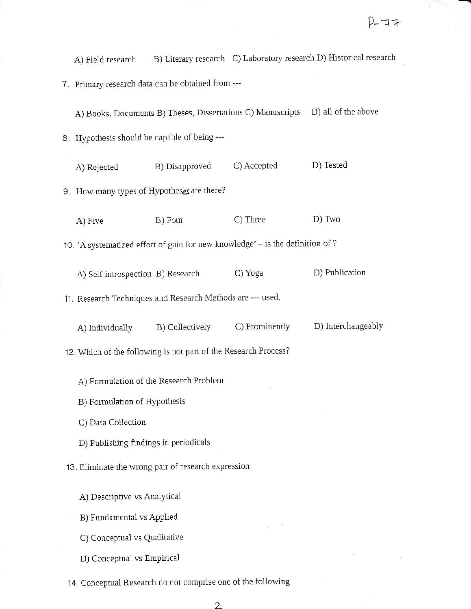B) Literary research C) Laboratory research D) Historical research A) Field research

7. Primary research data can be obtained from ---

A) Books, Documents B) Theses, Dissertations C) Manuscripts D) all of the above

8. Hypothesis should be capable of being ---

C) Accepted D) Tested B) Disapproved A) Rejected 9. How many types of Hypotheses are there? B) Four C) Three D) Two A) Five 10. 'A systematized effort of gain for new knowledge' - is the definition of ? D) Publication C) Yoga A) Self introspection B) Research 11. Research Techniques and Research Methods are --- used. D) Interchangeably C) Prominently B) Collectively A) Individually 12. Which of the following is not part of the Research Process? A) Formulation of the Research Problem B) Formulation of Hypothesis C) Data Collection D) Publishing findings in periodicals 13. Eliminate the wrong pair of research expression A) Descriptive vs Analytical

- B) Fundamental vs Applied
- C) Conceptual vs Qualitative
- D) Conceptual vs Empirical

14. Conceptual Research do not comprise one of the following

 $\overline{2}$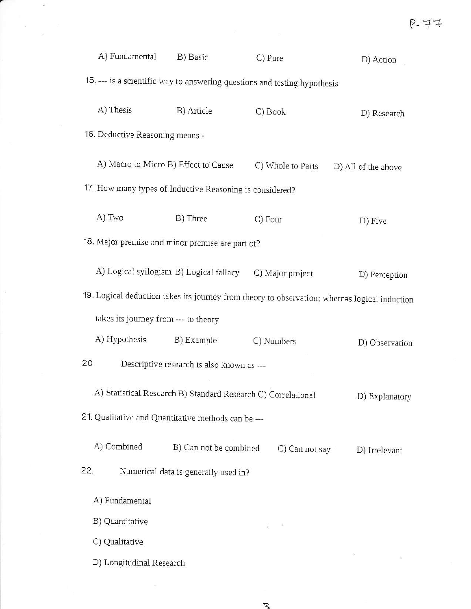| A) Fundamental                                           | B) Basic                                                                  | C) Pure                                                                                       | D) Action           |  |  |  |
|----------------------------------------------------------|---------------------------------------------------------------------------|-----------------------------------------------------------------------------------------------|---------------------|--|--|--|
|                                                          | 15. --- is a scientific way to answering questions and testing hypothesis |                                                                                               |                     |  |  |  |
| A) Thesis                                                | B) Article                                                                | C) Book                                                                                       | D) Research         |  |  |  |
| 16. Deductive Reasoning means -                          |                                                                           |                                                                                               |                     |  |  |  |
| A) Macro to Micro B) Effect to Cause                     |                                                                           | C) Whole to Parts                                                                             | D) All of the above |  |  |  |
| 17. How many types of Inductive Reasoning is considered? |                                                                           |                                                                                               |                     |  |  |  |
| A) Two                                                   | B) Three                                                                  | C) Four                                                                                       | D) Five             |  |  |  |
| 18. Major premise and minor premise are part of?         |                                                                           |                                                                                               |                     |  |  |  |
| A) Logical syllogism B) Logical fallacy                  |                                                                           | C) Major project                                                                              | D) Perception       |  |  |  |
|                                                          |                                                                           | 19. Logical deduction takes its journey from theory to observation; whereas logical induction |                     |  |  |  |
|                                                          | takes its journey from --- to theory                                      |                                                                                               |                     |  |  |  |
| A) Hypothesis                                            | B) Example                                                                | C) Numbers                                                                                    | D) Observation      |  |  |  |
| 20.                                                      | Descriptive research is also known as ---                                 |                                                                                               |                     |  |  |  |
|                                                          | A) Statistical Research B) Standard Research C) Correlational             |                                                                                               | D) Explanatory      |  |  |  |
| 21. Qualitative and Quantitative methods can be ---      |                                                                           |                                                                                               |                     |  |  |  |
| A) Combined                                              | B) Can not be combined                                                    | C) Can not say                                                                                | D) Irrelevant       |  |  |  |
| 22.                                                      | Numerical data is generally used in?                                      |                                                                                               |                     |  |  |  |
| A) Fundamental                                           |                                                                           |                                                                                               |                     |  |  |  |
| B) Quantitative                                          |                                                                           |                                                                                               |                     |  |  |  |
| C) Qualitative                                           |                                                                           |                                                                                               |                     |  |  |  |
| D) Longitudinal Research                                 |                                                                           |                                                                                               |                     |  |  |  |

 $\label{eq:3.1} \mathfrak{A} = \mathfrak{A} \otimes \mathfrak{A}$ 

 $\int_{0}^{\infty} \frac{1}{\sqrt{2}} dx$  , where  $\frac{1}{2}$ 

 $\begin{array}{ccc} \overline{\omega} & & & \overline{\omega} \\ & & & \overline{\omega} & \\ & & \overline{\omega} & & \end{array}$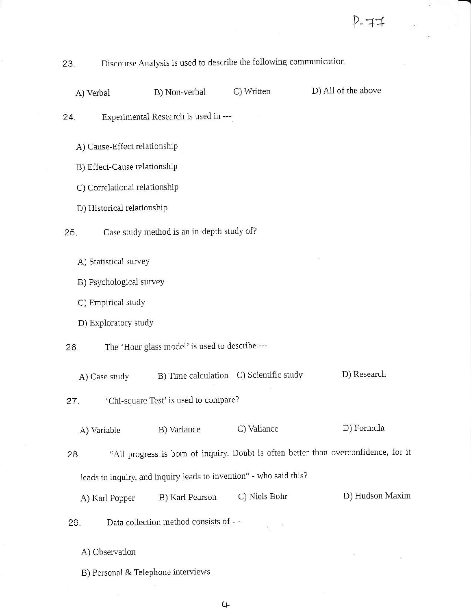#### Discourse Analysis is used to describe the following communication 23.

A) Verbal

B) Non-verbal

C) Written

D) All of the above

Experimental Research is used in ---24.

A) Cause-Effect relationship

B) Effect-Cause relationship

C) Correlational relationship

D) Historical relationship

Case study method is an in-depth study of? 25.

A) Statistical survey

B) Psychological survey

C) Empirical study

D) Exploratory study

The 'Hour glass model' is used to describe ---26.

B) Time calculation C) Scientific study D) Research A) Case study

'Chi-square Test' is used to compare? 27.

D) Formula C) Valiance A) Variable B) Variance

"All progress is born of inquiry. Doubt is often better than overconfidence, for it 28. leads to inquiry, and inquiry leads to invention" - who said this?

D) Hudson Maxim B) Karl Pearson C) Niels Bohr A) Karl Popper

Data collection method consists of ---29.

A) Observation

B) Personal & Telephone interviews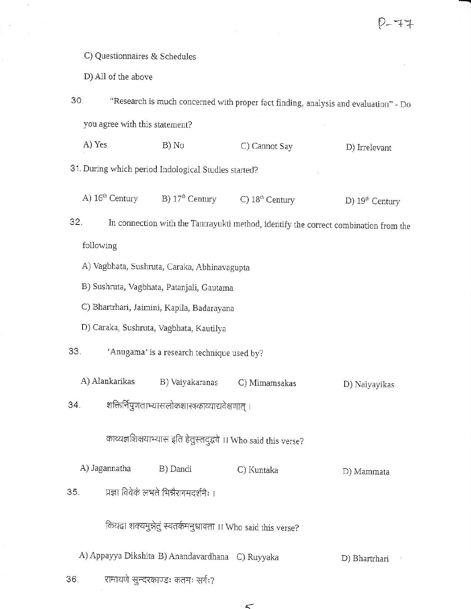C) Questionnaires & Schedules

D) All of the above

"Research is much concerned with proper fact finding, analysis and evaluation" - Do 30. you agree with this statement? A) Yes B) No C) Cannot Say D) Irrelevant 31. During which period Indological Studies started? A) 16<sup>th</sup> Century B)  $17<sup>th</sup>$  Century C)  $18<sup>th</sup>$  Century D) 19<sup>th</sup> Century In connection with the Tantrayukti method, identify the correct combination from the 32. following A) Vagbhata, Sushruta, Caraka, Abhinavagupta B) Sushruta, Vagbhata, Patanjali, Gautama C) Bhartrhari, Jaimini, Kapila, Badarayana D) Caraka, Sushruta, Vagbhata, Kautilya 33. 'Anugama' is a research technique used by? A) Alankarikas B) Vaiyakaranas C) Mimamsakas D) Naiyayikas शक्तिर्निपुणताभ्यासलोकशास्त्रकाव्याद्यवेक्षणात् । 34. काव्यज्ञशिक्षयाभ्यास इति हेतुस्तदुद्धवे ।। Who said this verse? A) Jagannatha B) Dandi C) Kuntaka D) Mammata 35. प्रज्ञा विवेकं लभते भिन्नैरागमदर्शनैः । कियद्वा शक्यमुन्नेतुं स्वतर्कमनुधावता ।। Who said this verse? A) Appayya Dikshita B) Anandavardhana C) Ruyyaka D) Bhartrhari रामायणे सुन्दरकाण्डः कतमः सर्गः? 36.

 $\lt$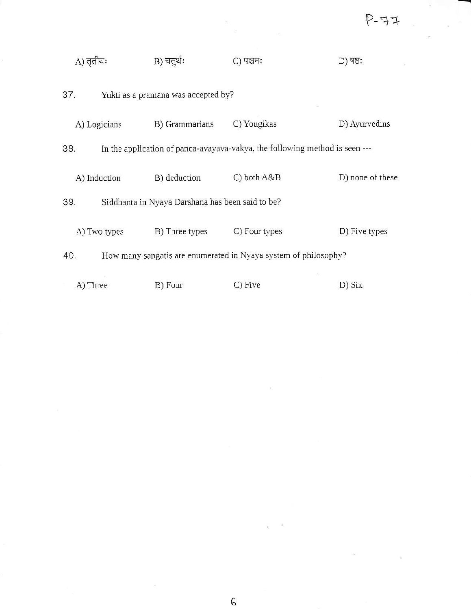| A) तृतीयः    | B) चतुर्थः                                                                  | C) पञ्चमः     | D) षष्ठः         |
|--------------|-----------------------------------------------------------------------------|---------------|------------------|
| 37.          | Yukti as a pramana was accepted by?                                         |               |                  |
| A) Logicians | B) Grammarians                                                              | C) Yougikas   | D) Ayurvedins    |
| 38.          | In the application of panca-avayava-vakya, the following method is seen --- |               |                  |
| A) Induction | B) deduction                                                                | C) both A&B   | D) none of these |
| 39.          | Siddhanta in Nyaya Darshana has been said to be?                            |               |                  |
| A) Two types | B) Three types                                                              | C) Four types | D) Five types    |
| 40.          | How many sangatis are enumerated in Nyaya system of philosophy?             |               |                  |
| A) Three     | B) Four                                                                     | C) Five       | D) Six           |

 $\mathbf{z}$ 

 $\sim$   $\sim$   $\sim$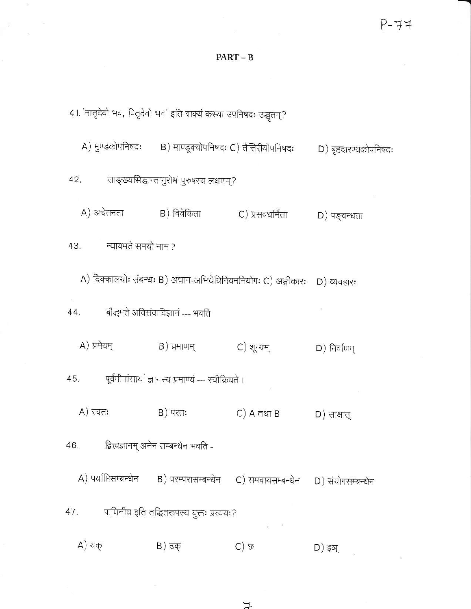## $PART - B$

 $\partial X$ 

41. 'मातृदेवो भव, पितृदेवो भव' इति वाक्यं कस्या उपनिषदः उद्धृतम्? A) मुण्डकोपनिषदः B) माण्डूक्योपनिषदः C) तैत्तिरीयोपनिषदः D) बृहदारण्यकोपनिषदः साङ्ख्यसिद्धान्तानुरोधं पुरुषस्य लक्षणम्? 42. A) अचेतनता B) विवेकिता C) प्रसवधर्मिता D) पङ्चन्धता न्यायमते समयो नाम ? 43. A) दिक्कालयोः संबन्धः B) अधान-अभिधेयिनियमनियोगः C) अङ्गीकारः D) व्यवहारः बौद्धमते अविसंवादिज्ञानं --- भवति 44. A) प्रमेयम् D) निर्वाणम् पूर्वमीमांसायां ज्ञानस्य प्रमाण्यं --- स्वीक्रियते । 45.  $A)$  स्वतः B) परतः (C) A तथा B  $D)$  साक्षात् द्वित्वज्ञानम् अनेन सम्बन्धेन भवति -46. A) पर्याप्तिसम्बन्धेन  $\qquad$  B) परम्परासम्बन्धेन  $\qquad$  C) समवायसम्बन्धेन D) संयोगसम्बन्धेन पाणिनीय इति तद्धितरूपस्य युक्तः प्रत्ययः? 47. **A)** यक् B) ढक् C) ফ D) इञ्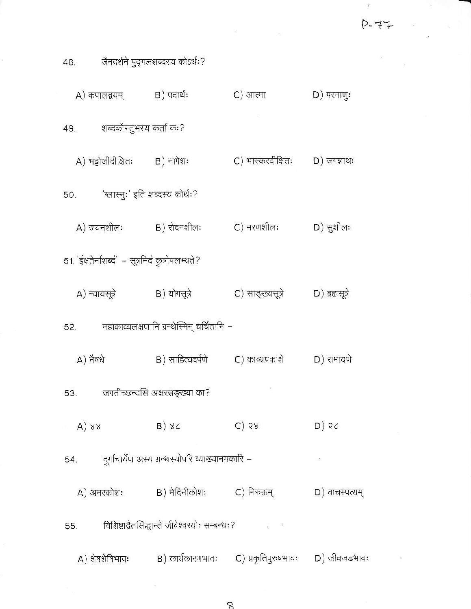$\mathbb{Z}^2$  . The contract of the contract of the contract of the contract of the contract of the contract of the contract of the contract of the contract of the contract of the contract of the contract of the contract of

|          |                                                 | 48.         जैनदर्शने पुद्गलशब्दस्य कोऽर्थः?                 |                     |                |  |
|----------|-------------------------------------------------|--------------------------------------------------------------|---------------------|----------------|--|
|          | A) कपालद्वयम्           B) पदार्थः              |                                                              | C) आत्मा D) परमाणुः |                |  |
|          | 49. – शब्दकौस्तुभस्य कर्ता कः?                  |                                                              |                     |                |  |
|          | A) भट्टोजीदीक्षितः B) नागेशः                    |                                                              |                     |                |  |
|          | 50. 'ग्लास्नुः' इति शब्दस्य कोर्थः?             |                                                              |                     |                |  |
|          |                                                 | A) जयनशीलः $B$ ) रोदनशीलः $C$ ) मरणशीलः $D$ ) सुशीलः         |                     |                |  |
|          | 51. 'ईक्षतेर्नाशब्द' – सूत्रमिदं कुत्रोपलभ्यते? |                                                              |                     |                |  |
|          |                                                 | A) न्यायसूत्रे B) योगसूत्रे C) साङ्ख्यसूत्रे D) ब्रह्मसूत्रे |                     |                |  |
|          |                                                 | 52. महाकाव्यलक्षणानि ग्रन्थेस्मिन् चर्चितानि –               |                     |                |  |
| A) नैषधे |                                                 | B) साहित्यदर्पणे          C) काव्यप्रकाशे                    |                     | D) रामायणे     |  |
|          |                                                 | 53. जगतीच्छन्दसि अक्षरसङ्ख्या का?                            |                     |                |  |
| A)88     |                                                 | B)8C                                                         | $C)$ 58             | $D)$ 3c        |  |
|          |                                                 | 54. दुर्गाचार्येण अस्य ग्रन्थस्योपरि व्याख्यानमकारि –        |                     | $\sim 10^7$    |  |
|          |                                                 | A) अमरकोशः             B) मेदिनीकोशः         C) निरुक्तम्    |                     | D) वाचस्पत्यम् |  |
| 55.      |                                                 |                                                              |                     |                |  |
|          | A) शेषशेषिभावः                                  | B) कार्यकारणभावः (C) प्रकृतिपुरुषभावः D) जीवजडभावः           |                     |                |  |

8

 $\alpha$  .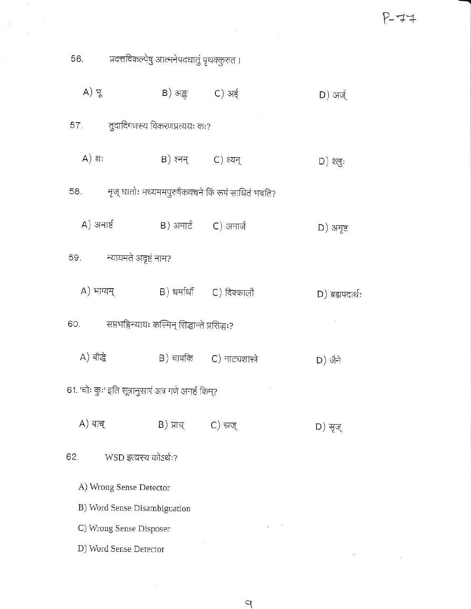$P-77$ 

 $\alpha$ 

| 56. - प्रदत्तविकल्पेषु आत्मनेपदधातुं पृथक्कुरुत ।    |                           |                                                    |                    |  |  |
|------------------------------------------------------|---------------------------|----------------------------------------------------|--------------------|--|--|
| A) भू                                                | B) अङ्क C) अर्ह           |                                                    | D) अर्ज्           |  |  |
| 57. तुदादिगणस्य विकरणप्रत्ययः कः?                    |                           |                                                    |                    |  |  |
| $A)$ शः                                              | B) श्नम् C) श्यन्         |                                                    | D) श्लुः           |  |  |
| 58.                                                  |                           | मृज् धातोः मध्यममपुरुषैकवचने किं रूपं साधितं भवति? |                    |  |  |
| A) अमार्ष्ट                                          | B) अमार्ट       C) अमार्ज |                                                    | $D)$ अमृष्ट        |  |  |
| 59. न्यायमते अदृष्टं नाम?                            |                           |                                                    |                    |  |  |
| A) भाग्यम्                                           |                           | B) धर्मार्थों       C) दिक्कालौ                    | $D)$ ब्रह्मपदार्थः |  |  |
| 60. सप्तभङ्गिन्यायः कस्मिन् सिद्धान्ते प्रसिद्धः?    |                           |                                                    |                    |  |  |
| A) बौद्धे                                            |                           | B) चावकि C) नाट्यशास्त्रे                          | D) जैने            |  |  |
| 61. 'चोः कुः' इति सूत्रानुसारं अत्र गणे अनर्हं किम्? |                           |                                                    |                    |  |  |
| A) वाच्                                              | B) प्राच्                 | C) स्रज्                                           | D) सृज्            |  |  |
| WSD इत्यस्य कोऽर्थः?<br>62.                          |                           |                                                    |                    |  |  |
| A) Wrong Sense Detector                              |                           |                                                    |                    |  |  |
| B) Word Sense Disambiguation                         |                           |                                                    |                    |  |  |
| C) Wrong Sense Disposer                              |                           |                                                    |                    |  |  |
| D) Word Sense Detector                               |                           |                                                    |                    |  |  |

 $\frac{d\mathcal{H}}{d\mathcal{H}}$ 

 $\frac{1}{2}$ 

iit.

 $\overline{P}$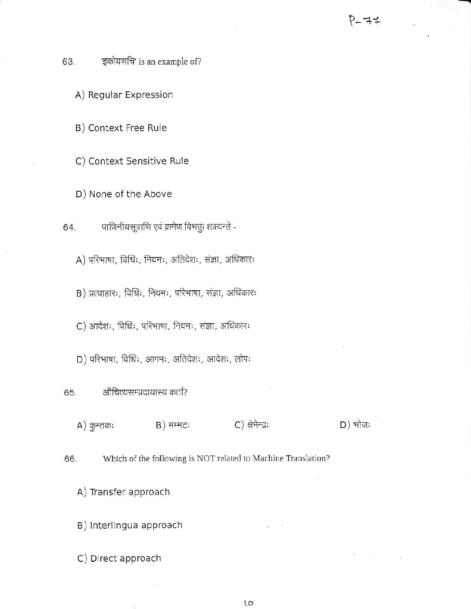'इकोयणचि' is an example of? 63.

A) Regular Expression

B) Context Free Rule

C) Context Sensitive Rule

D) None of the Above

पाणिनीयसूत्राणि एवं क्रमेण विभक्तुं शक्यन्ते -64.

A) परिभाषा, विधिः, नियमः, अतिदेशः, संज्ञा, अधिकारः

B) प्रत्याहारः, विधिः, नियमः, परिभाषा, संज्ञा, अधिकारः

C) आदेशः, विधिः, परिभाषा, नियमः, संज्ञा, अधिकारः

D) परिभाषा, विधिः, आगमः, अतिदेशः, आदेशः, लोपः

औचित्यसम्प्रदायास्य कर्ता? 65.

 $A)$  कुन्तकः

B) मम्मटः C) क्षेमेन्द्रः

 $D)$  भोजः

Which of the following is NOT related to Machine Translation? 66.

A) Transfer approach

B) Interlingua approach

C) Direct approach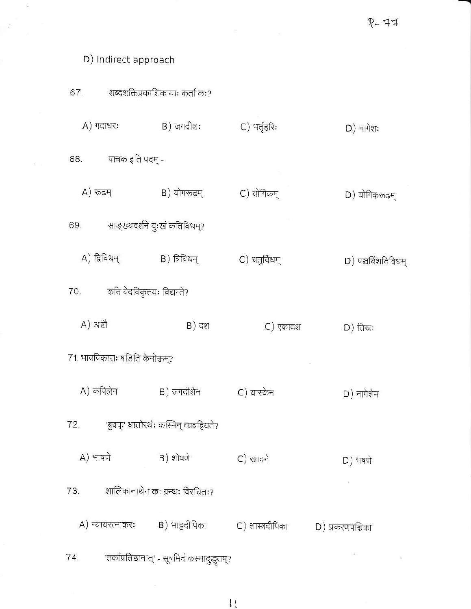## D) Indirect approach

|              |                                   | 67. शब्दशक्तिप्रकाशिकायाः कर्ता कः?              |                  |                    |
|--------------|-----------------------------------|--------------------------------------------------|------------------|--------------------|
|              | A) गदाधरः                         | B) जगदीशः                                        | C) भर्तृहरिः     | D) नागेशः          |
|              | 68. पाचक इति पदम् -               |                                                  |                  |                    |
| A) रूढम्     |                                   | B) योगरूढम्                                      | C) योगिकम्       | D) योगिकरूढम्      |
|              | 69. साङ्ख्यदर्शने दुःखं कतिविधम्? |                                                  |                  |                    |
| A) द्विविधम् |                                   | B) त्रिविधम्                                     | C) चतुर्विधम्    | D) पञ्चविंशतिविधम् |
|              | 70. कति वेदविकृतयः विद्यन्ते?     |                                                  |                  |                    |
| $A)$ अष्टौ   |                                   | B) दश                                            | C) एकादश         | $D)$ तिस्रः        |
|              | 71. भावविकाराः षडिति केनोक्तम्?   |                                                  |                  |                    |
| A) कपिलेन    |                                   | B) जगदीशेन                                       | C) यास्केन       | D) नागेशेन         |
| 72.          |                                   | 'बुक्क्' धातोरर्थः कस्मिन् व्यवहियते?            |                  |                    |
| A) भाषणे     |                                   | B) शोषणे                                         | C) खादने         | $D)$ भषणे          |
| 73.          |                                   | शालिकानाथेन कः ग्रन्थः विरचितः?                  |                  |                    |
|              |                                   | A) न्यायरत्नाकरः         B) भाट्टदीपिका          | C) शास्त्रदीपिका | D) प्रकरणपश्चिका   |
| 74.          |                                   | 'तर्काप्रतिष्ठानात्' - सूत्रमिदं कस्मादुद्धृतम्? |                  |                    |

 $\frac{1}{2}$